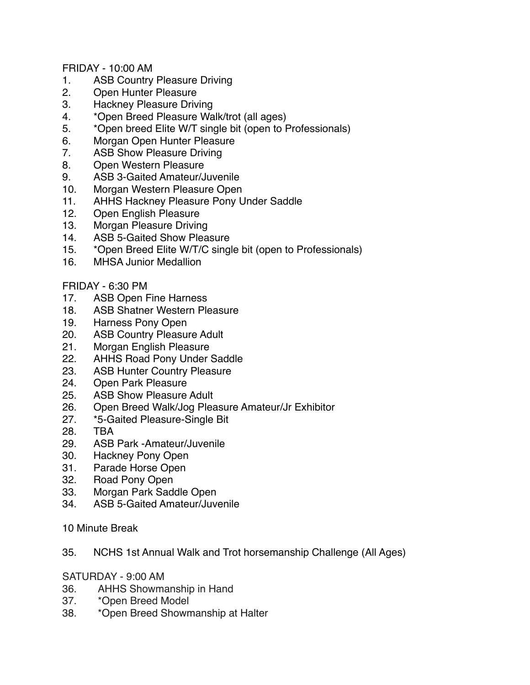FRIDAY - 10:00 AM

- 1. ASB Country Pleasure Driving
- 2. Open Hunter Pleasure
- 3. Hackney Pleasure Driving
- 4. \*Open Breed Pleasure Walk/trot (all ages)
- 5. \*Open breed Elite W/T single bit (open to Professionals)
- 6. Morgan Open Hunter Pleasure
- 7. ASB Show Pleasure Driving
- 8. Open Western Pleasure
- 9. ASB 3-Gaited Amateur/Juvenile
- 10. Morgan Western Pleasure Open
- 11. AHHS Hackney Pleasure Pony Under Saddle
- 12. Open English Pleasure
- 13. Morgan Pleasure Driving
- 14. ASB 5-Gaited Show Pleasure
- 15. \*Open Breed Elite W/T/C single bit (open to Professionals)
- 16. MHSA Junior Medallion

## FRIDAY - 6:30 PM

- 17. ASB Open Fine Harness
- 18. ASB Shatner Western Pleasure
- 19. Harness Pony Open
- 20. ASB Country Pleasure Adult
- 21. Morgan English Pleasure
- 22. AHHS Road Pony Under Saddle
- 23. ASB Hunter Country Pleasure
- 24. Open Park Pleasure
- 25. ASB Show Pleasure Adult
- 26. Open Breed Walk/Jog Pleasure Amateur/Jr Exhibitor
- 27. \*5-Gaited Pleasure-Single Bit
- 28. TBA
- 29. ASB Park -Amateur/Juvenile
- 30. Hackney Pony Open
- 31. Parade Horse Open
- 32. Road Pony Open
- 33. Morgan Park Saddle Open
- 34. ASB 5-Gaited Amateur/Juvenile
- 10 Minute Break
- 35. NCHS 1st Annual Walk and Trot horsemanship Challenge (All Ages)

SATURDAY - 9:00 AM

- 36. AHHS Showmanship in Hand
- 37. \*Open Breed Model
- 38. \*Open Breed Showmanship at Halter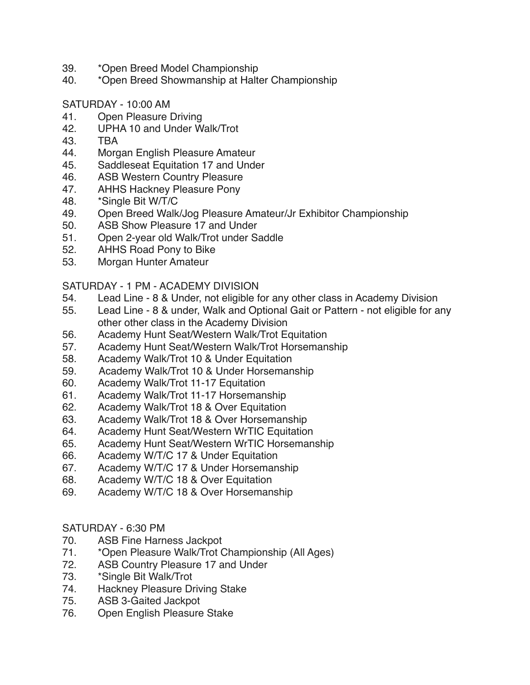- 39. \*Open Breed Model Championship
- 40. \*Open Breed Showmanship at Halter Championship

## SATURDAY - 10:00 AM

- 41. Open Pleasure Driving
- 42. UPHA 10 and Under Walk/Trot
- 43. TBA
- 44. Morgan English Pleasure Amateur
- 45. Saddleseat Equitation 17 and Under
- 46. ASB Western Country Pleasure
- 47. AHHS Hackney Pleasure Pony
- 48. \*Single Bit W/T/C
- 49. Open Breed Walk/Jog Pleasure Amateur/Jr Exhibitor Championship
- 50. ASB Show Pleasure 17 and Under
- 51. Open 2-year old Walk/Trot under Saddle
- 52. AHHS Road Pony to Bike
- 53. Morgan Hunter Amateur

## SATURDAY - 1 PM - ACADEMY DIVISION

- 54. Lead Line 8 & Under, not eligible for any other class in Academy Division
- 55. Lead Line 8 & under, Walk and Optional Gait or Pattern not eligible for any other other class in the Academy Division
- 56. Academy Hunt Seat/Western Walk/Trot Equitation
- 57. Academy Hunt Seat/Western Walk/Trot Horsemanship
- 58. Academy Walk/Trot 10 & Under Equitation
- 59. Academy Walk/Trot 10 & Under Horsemanship
- 60. Academy Walk/Trot 11-17 Equitation
- 61. Academy Walk/Trot 11-17 Horsemanship
- 62. Academy Walk/Trot 18 & Over Equitation
- 63. Academy Walk/Trot 18 & Over Horsemanship
- 64. Academy Hunt Seat/Western WrTIC Equitation
- 65. Academy Hunt Seat/Western WrTIC Horsemanship
- 66. Academy W/T/C 17 & Under Equitation
- 67. Academy W/T/C 17 & Under Horsemanship
- 68. Academy W/T/C 18 & Over Equitation
- 69. Academy W/T/C 18 & Over Horsemanship

## SATURDAY - 6:30 PM

- 70. ASB Fine Harness Jackpot
- 71. \*Open Pleasure Walk/Trot Championship (All Ages)
- 72. ASB Country Pleasure 17 and Under
- 73. \*Single Bit Walk/Trot
- 74. Hackney Pleasure Driving Stake<br>75. ASB 3-Gaited Jackpot
- ASB 3-Gaited Jackpot
- 76. Open English Pleasure Stake